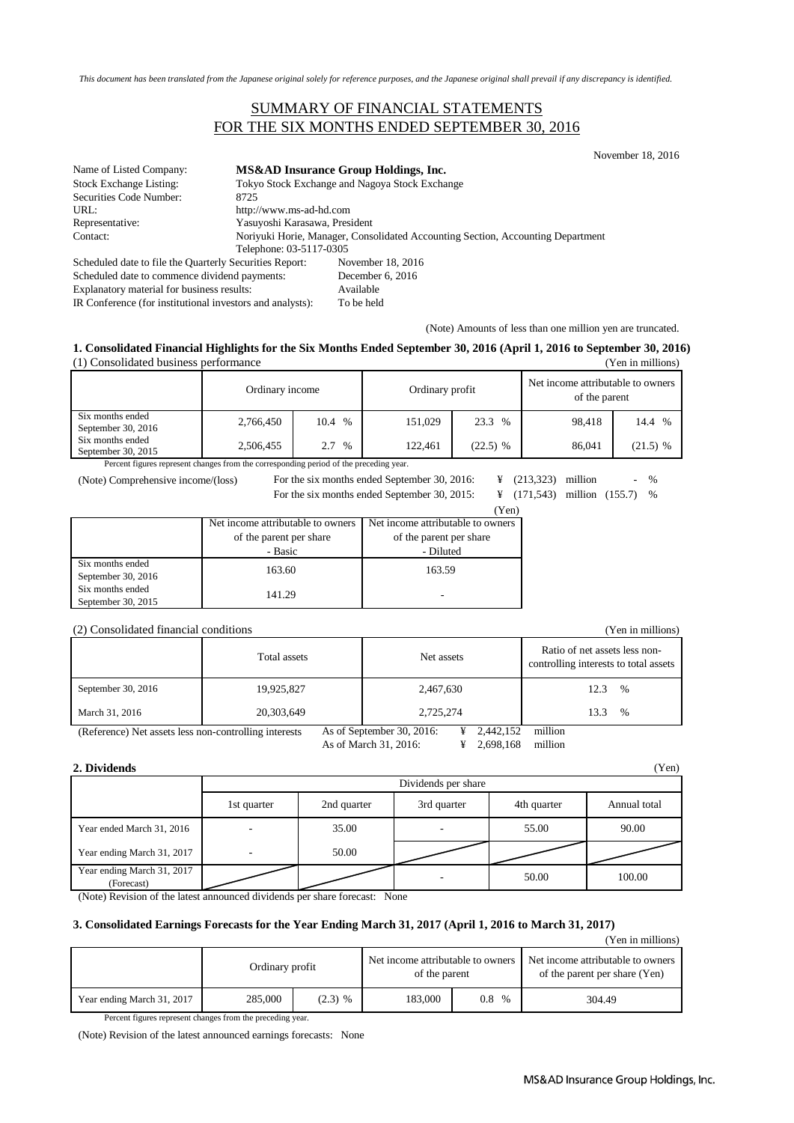*This document has been translated from the Japanese original solely for reference purposes, and the Japanese original shall prevail if any discrepancy is identified.*

### SUMMARY OF FINANCIAL STATEMENTS FOR THE SIX MONTHS ENDED SEPTEMBER 30, 2016

November 18, 2016

| Name of Listed Company:                                 |                               | MS&AD Insurance Group Holdings, Inc.                                            |  |  |
|---------------------------------------------------------|-------------------------------|---------------------------------------------------------------------------------|--|--|
| <b>Stock Exchange Listing:</b>                          |                               | Tokyo Stock Exchange and Nagoya Stock Exchange                                  |  |  |
| Securities Code Number:                                 | 8725                          |                                                                                 |  |  |
| URL:                                                    | http://www.ms-ad-hd.com       |                                                                                 |  |  |
| Representative:                                         | Yasuyoshi Karasawa, President |                                                                                 |  |  |
| Contact:                                                |                               | Noriyuki Horie, Manager, Consolidated Accounting Section, Accounting Department |  |  |
|                                                         | Telephone: 03-5117-0305       |                                                                                 |  |  |
| Scheduled date to file the Quarterly Securities Report: |                               | November 18, 2016                                                               |  |  |
| Scheduled date to commence dividend payments:           |                               | December 6, 2016                                                                |  |  |
|                                                         |                               |                                                                                 |  |  |

Explanatory material for business results: Available

IR Conference (for institutional investors and analysts): To be held

(Note) Amounts of less than one million yen are truncated.

#### **1. Consolidated Financial Highlights for the Six Months Ended September 30, 2016 (April 1, 2016 to September 30, 2016)** (1) Consolidated business performance (Yen in millions)

|                                        | Ordinary income | Ordinary profit |         | Net income attributable to owners<br>of the parent |        |              |
|----------------------------------------|-----------------|-----------------|---------|----------------------------------------------------|--------|--------------|
| Six months ended<br>September 30, 2016 | 2,766,450       | $\%$<br>10.4    | 151.029 | 23.3 %                                             | 98.418 | 14.4<br>$\%$ |
| Six months ended<br>September 30, 2015 | 2,506,455       | $\%$<br>2.7     | 122.461 | $(22.5)$ %                                         | 86,041 | $(21.5)$ %   |

Percent figures represent changes from the corresponding period of the preceding year.

(Note) Comprehensive income/(loss) For the six months ended September 30, 2015: For the six months ended September 30, 2016:  $\qquad$   $\qquad$   $\qquad$   $(213,323)$  million - %

¥ (171,543) million (155.7)

 $\alpha$ 

|                    |                                   | I CII.                            |
|--------------------|-----------------------------------|-----------------------------------|
|                    | Net income attributable to owners | Net income attributable to owners |
|                    | of the parent per share           | of the parent per share           |
|                    | - Basic                           | - Diluted                         |
| Six months ended   | 163.60                            | 163.59                            |
| September 30, 2016 |                                   |                                   |
| Six months ended   | 141.29                            |                                   |
| September 30, 2015 |                                   |                                   |

#### (2) Consolidated financial conditions (Yen in millions)

|                    | Total assets | Net assets | Ratio of net assets less non-<br>controlling interests to total assets |
|--------------------|--------------|------------|------------------------------------------------------------------------|
| September 30, 2016 | 19,925,827   | 2,467,630  | $\%$<br>12.3                                                           |
| March 31, 2016     | 20,303,649   | 2,725,274  | 13.3<br>%                                                              |

(Reference) Net assets less non-controlling interests As of September 30, 2016: ¥ 2,442,152 million

As of March 31, 2016: ¥ 2,698,168 million

| 2. Dividends                             |             |                     |             |             | (Yen)        |  |
|------------------------------------------|-------------|---------------------|-------------|-------------|--------------|--|
|                                          |             | Dividends per share |             |             |              |  |
|                                          | 1st quarter | 2nd quarter         | 3rd quarter | 4th quarter | Annual total |  |
| Year ended March 31, 2016                |             | 35.00               |             | 55.00       | 90.00        |  |
| Year ending March 31, 2017               |             | 50.00               |             |             |              |  |
| Year ending March 31, 2017<br>(Forecast) |             |                     |             | 50.00       | 100.00       |  |

(Note) Revision of the latest announced dividends per share forecast: None

#### **3. Consolidated Earnings Forecasts for the Year Ending March 31, 2017 (April 1, 2016 to March 31, 2017)**

(Yen in millions)

|                            | Ordinary profit |           | Net income attributable to owners<br>of the parent |             | Net income attributable to owners<br>of the parent per share (Yen) |
|----------------------------|-----------------|-----------|----------------------------------------------------|-------------|--------------------------------------------------------------------|
| Year ending March 31, 2017 | 285,000         | $(2.3)$ % | 183.000                                            | 0.8<br>$\%$ | 304.49                                                             |

Percent figures represent changes from the preceding year.

(Note) Revision of the latest announced earnings forecasts: None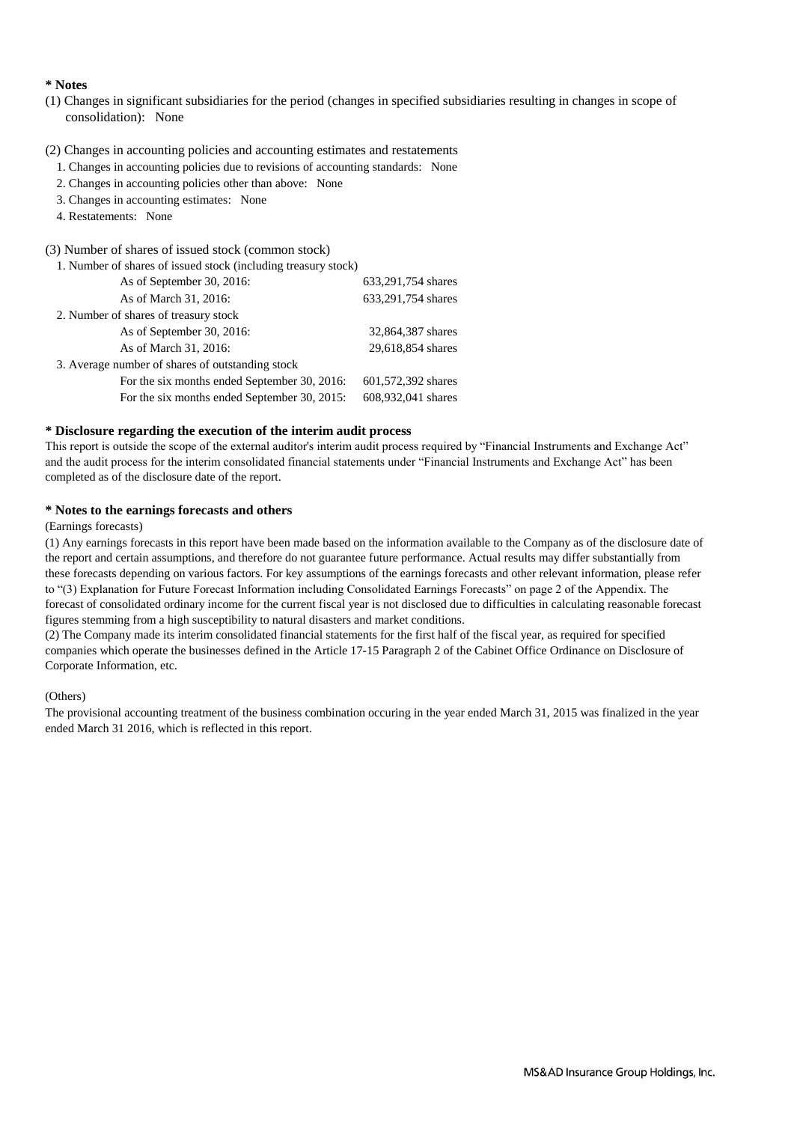#### **\* Notes**

(1) Changes in significant subsidiaries for the period (changes in specified subsidiaries resulting in changes in scope of consolidation): None

#### (2) Changes in accounting policies and accounting estimates and restatements

- 1. Changes in accounting policies due to revisions of accounting standards: None
- 2. Changes in accounting policies other than above: None
- 3. Changes in accounting estimates: None
- 4. Restatements: None

#### (3) Number of shares of issued stock (common stock)

| 1. Number of shares of issued stock (including treasury stock) |                    |
|----------------------------------------------------------------|--------------------|
| As of September 30, 2016:                                      | 633,291,754 shares |
| As of March 31, 2016:                                          | 633,291,754 shares |
| 2. Number of shares of treasury stock                          |                    |
| As of September 30, 2016:                                      | 32,864,387 shares  |
| As of March 31, 2016:                                          | 29,618,854 shares  |
| 3. Average number of shares of outstanding stock               |                    |
| For the six months ended September 30, 2016:                   | 601,572,392 shares |
| For the six months ended September 30, 2015:                   | 608,932,041 shares |

#### **\* Disclosure regarding the execution of the interim audit process**

This report is outside the scope of the external auditor's interim audit process required by "Financial Instruments and Exchange Act" and the audit process for the interim consolidated financial statements under "Financial Instruments and Exchange Act" has been completed as of the disclosure date of the report.

#### **\* Notes to the earnings forecasts and others**

#### (Earnings forecasts)

(1) Any earnings forecasts in this report have been made based on the information available to the Company as of the disclosure date of the report and certain assumptions, and therefore do not guarantee future performance. Actual results may differ substantially from these forecasts depending on various factors. For key assumptions of the earnings forecasts and other relevant information, please refer to "(3) Explanation for Future Forecast Information including Consolidated Earnings Forecasts" on page 2 of the Appendix. The forecast of consolidated ordinary income for the current fiscal year is not disclosed due to difficulties in calculating reasonable forecast figures stemming from a high susceptibility to natural disasters and market conditions.

(2) The Company made its interim consolidated financial statements for the first half of the fiscal year, as required for specified companies which operate the businesses defined in the Article 17-15 Paragraph 2 of the Cabinet Office Ordinance on Disclosure of Corporate Information, etc.

#### (Others)

The provisional accounting treatment of the business combination occuring in the year ended March 31, 2015 was finalized in the year ended March 31 2016, which is reflected in this report.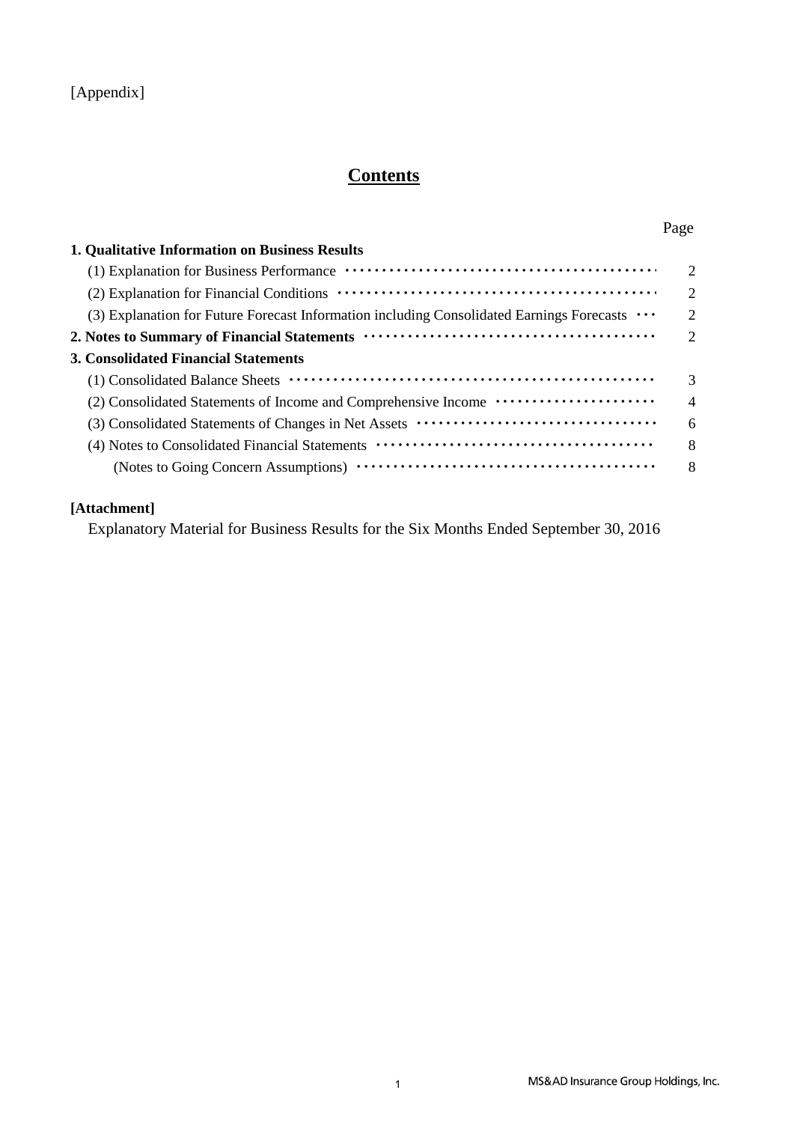### [Appendix]

# **Contents**

| <b>1. Qualitative Information on Business Results</b>                                              |   |
|----------------------------------------------------------------------------------------------------|---|
|                                                                                                    |   |
|                                                                                                    |   |
| (3) Explanation for Future Forecast Information including Consolidated Earnings Forecasts $\cdots$ |   |
|                                                                                                    |   |
| <b>3. Consolidated Financial Statements</b>                                                        |   |
|                                                                                                    |   |
|                                                                                                    | 4 |
|                                                                                                    | 6 |
|                                                                                                    | 8 |
|                                                                                                    | 8 |

### **[Attachment]**

Explanatory Material for Business Results for the Six Months Ended September 30, 2016

Page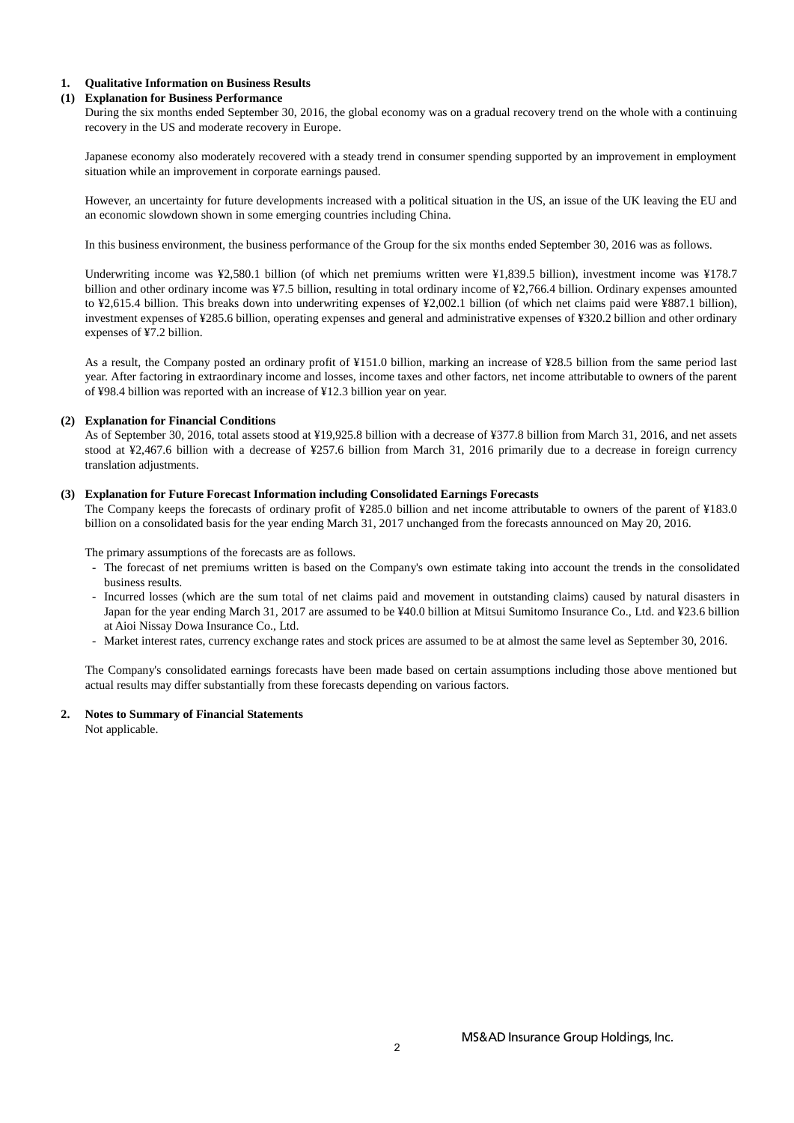#### **1. Qualitative Information on Business Results**

#### **(1) Explanation for Business Performance**

During the six months ended September 30, 2016, the global economy was on a gradual recovery trend on the whole with a continuing recovery in the US and moderate recovery in Europe.

Japanese economy also moderately recovered with a steady trend in consumer spending supported by an improvement in employment situation while an improvement in corporate earnings paused.

However, an uncertainty for future developments increased with a political situation in the US, an issue of the UK leaving the EU and an economic slowdown shown in some emerging countries including China.

In this business environment, the business performance of the Group for the six months ended September 30, 2016 was as follows.

Underwriting income was ¥2,580.1 billion (of which net premiums written were ¥1,839.5 billion), investment income was ¥178.7 billion and other ordinary income was ¥7.5 billion, resulting in total ordinary income of ¥2,766.4 billion. Ordinary expenses amounted to ¥2,615.4 billion. This breaks down into underwriting expenses of ¥2,002.1 billion (of which net claims paid were ¥887.1 billion), investment expenses of ¥285.6 billion, operating expenses and general and administrative expenses of ¥320.2 billion and other ordinary expenses of ¥7.2 billion.

As a result, the Company posted an ordinary profit of ¥151.0 billion, marking an increase of ¥28.5 billion from the same period last year. After factoring in extraordinary income and losses, income taxes and other factors, net income attributable to owners of the parent of ¥98.4 billion was reported with an increase of ¥12.3 billion year on year.

#### **(2) Explanation for Financial Conditions**

As of September 30, 2016, total assets stood at ¥19,925.8 billion with a decrease of ¥377.8 billion from March 31, 2016, and net assets stood at ¥2,467.6 billion with a decrease of ¥257.6 billion from March 31, 2016 primarily due to a decrease in foreign currency translation adjustments.

#### **(3) Explanation for Future Forecast Information including Consolidated Earnings Forecasts**

The Company keeps the forecasts of ordinary profit of ¥285.0 billion and net income attributable to owners of the parent of ¥183.0 billion on a consolidated basis for the year ending March 31, 2017 unchanged from the forecasts announced on May 20, 2016.

The primary assumptions of the forecasts are as follows.

- The forecast of net premiums written is based on the Company's own estimate taking into account the trends in the consolidated business results.
- Incurred losses (which are the sum total of net claims paid and movement in outstanding claims) caused by natural disasters in Japan for the year ending March 31, 2017 are assumed to be ¥40.0 billion at Mitsui Sumitomo Insurance Co., Ltd. and ¥23.6 billion at Aioi Nissay Dowa Insurance Co., Ltd.
- Market interest rates, currency exchange rates and stock prices are assumed to be at almost the same level as September 30, 2016.

The Company's consolidated earnings forecasts have been made based on certain assumptions including those above mentioned but actual results may differ substantially from these forecasts depending on various factors.

#### **2. Notes to Summary of Financial Statements**

Not applicable.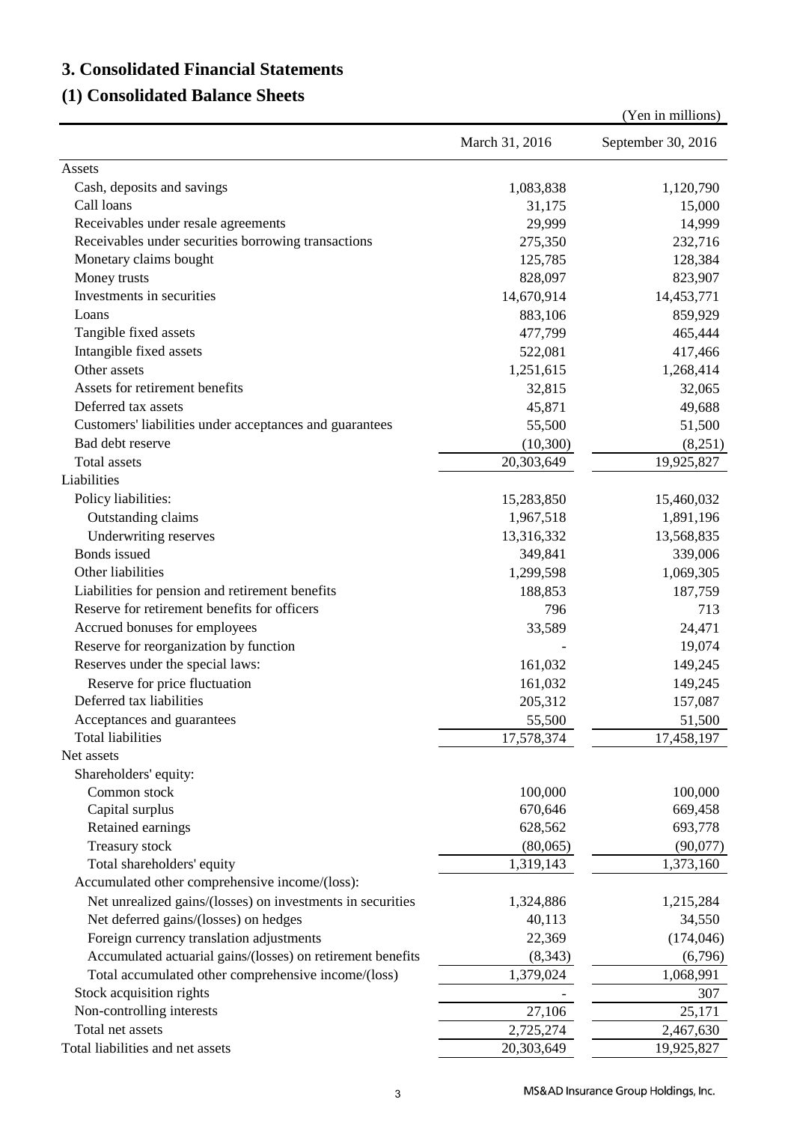# **3. Consolidated Financial Statements**

# **(1) Consolidated Balance Sheets**

|                                                                                                 |                | (Yen in millions)  |
|-------------------------------------------------------------------------------------------------|----------------|--------------------|
|                                                                                                 | March 31, 2016 | September 30, 2016 |
| Assets                                                                                          |                |                    |
| Cash, deposits and savings                                                                      | 1,083,838      | 1,120,790          |
| Call loans                                                                                      | 31,175         | 15,000             |
| Receivables under resale agreements                                                             | 29,999         | 14,999             |
| Receivables under securities borrowing transactions                                             | 275,350        | 232,716            |
| Monetary claims bought                                                                          | 125,785        | 128,384            |
| Money trusts                                                                                    | 828,097        | 823,907            |
| Investments in securities                                                                       | 14,670,914     | 14,453,771         |
| Loans                                                                                           | 883,106        | 859,929            |
| Tangible fixed assets                                                                           | 477,799        | 465,444            |
| Intangible fixed assets                                                                         | 522,081        | 417,466            |
| Other assets                                                                                    | 1,251,615      | 1,268,414          |
| Assets for retirement benefits                                                                  | 32,815         | 32,065             |
| Deferred tax assets                                                                             | 45,871         | 49,688             |
| Customers' liabilities under acceptances and guarantees                                         | 55,500         | 51,500             |
| Bad debt reserve                                                                                | (10,300)       | (8,251)            |
| <b>Total</b> assets                                                                             | 20,303,649     | 19,925,827         |
| Liabilities                                                                                     |                |                    |
| Policy liabilities:                                                                             | 15,283,850     | 15,460,032         |
| Outstanding claims                                                                              | 1,967,518      | 1,891,196          |
| Underwriting reserves                                                                           | 13,316,332     | 13,568,835         |
| Bonds issued                                                                                    | 349,841        |                    |
| Other liabilities                                                                               |                | 339,006            |
|                                                                                                 | 1,299,598      | 1,069,305          |
| Liabilities for pension and retirement benefits<br>Reserve for retirement benefits for officers | 188,853        | 187,759            |
|                                                                                                 | 796            | 713                |
| Accrued bonuses for employees                                                                   | 33,589         | 24,471             |
| Reserve for reorganization by function                                                          |                | 19,074             |
| Reserves under the special laws:                                                                | 161,032        | 149,245            |
| Reserve for price fluctuation                                                                   | 161,032        | 149,245            |
| Deferred tax liabilities                                                                        | 205,312        | 157,087            |
| Acceptances and guarantees                                                                      | 55,500         | 51,500             |
| Total liabilities                                                                               | 17,578,374     | 17,458,197         |
| Net assets                                                                                      |                |                    |
| Shareholders' equity:                                                                           |                |                    |
| Common stock                                                                                    | 100,000        | 100,000            |
| Capital surplus                                                                                 | 670,646        | 669,458            |
| Retained earnings                                                                               | 628,562        | 693,778            |
| Treasury stock                                                                                  | (80,065)       | (90,077)           |
| Total shareholders' equity                                                                      | 1,319,143      | 1,373,160          |
| Accumulated other comprehensive income/(loss):                                                  |                |                    |
| Net unrealized gains/(losses) on investments in securities                                      | 1,324,886      | 1,215,284          |
| Net deferred gains/(losses) on hedges                                                           | 40,113         | 34,550             |
| Foreign currency translation adjustments                                                        | 22,369         | (174, 046)         |
| Accumulated actuarial gains/(losses) on retirement benefits                                     | (8,343)        | (6,796)            |
| Total accumulated other comprehensive income/(loss)                                             | 1,379,024      | 1,068,991          |
| Stock acquisition rights                                                                        |                | 307                |
| Non-controlling interests                                                                       | 27,106         | 25,171             |
| Total net assets                                                                                | 2,725,274      | 2,467,630          |
| Total liabilities and net assets                                                                | 20,303,649     | 19,925,827         |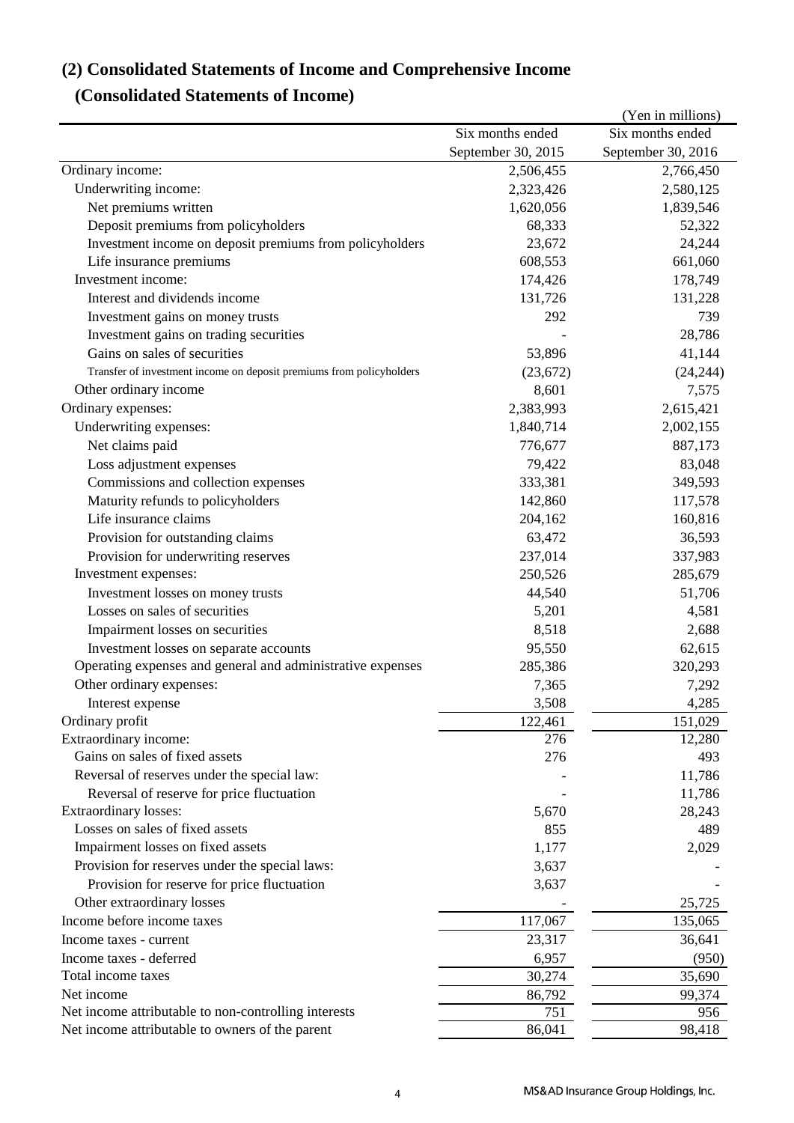# **(2) Consolidated Statements of Income and Comprehensive Income**

# **(Consolidated Statements of Income)**

|                                                                      |                    | (Yen in millions)  |
|----------------------------------------------------------------------|--------------------|--------------------|
|                                                                      | Six months ended   | Six months ended   |
|                                                                      | September 30, 2015 | September 30, 2016 |
| Ordinary income:                                                     | 2,506,455          | 2,766,450          |
| Underwriting income:                                                 | 2,323,426          | 2,580,125          |
| Net premiums written                                                 | 1,620,056          | 1,839,546          |
| Deposit premiums from policyholders                                  | 68,333             | 52,322             |
| Investment income on deposit premiums from policyholders             | 23,672             | 24,244             |
| Life insurance premiums                                              | 608,553            | 661,060            |
| Investment income:                                                   | 174,426            | 178,749            |
| Interest and dividends income                                        | 131,726            | 131,228            |
| Investment gains on money trusts                                     | 292                | 739                |
| Investment gains on trading securities                               |                    | 28,786             |
| Gains on sales of securities                                         | 53,896             | 41,144             |
| Transfer of investment income on deposit premiums from policyholders | (23, 672)          | (24, 244)          |
| Other ordinary income                                                | 8,601              | 7,575              |
| Ordinary expenses:                                                   | 2,383,993          | 2,615,421          |
| Underwriting expenses:                                               | 1,840,714          | 2,002,155          |
| Net claims paid                                                      | 776,677            | 887,173            |
| Loss adjustment expenses                                             | 79,422             | 83,048             |
| Commissions and collection expenses                                  | 333,381            | 349,593            |
| Maturity refunds to policyholders                                    | 142,860            | 117,578            |
| Life insurance claims                                                | 204,162            | 160,816            |
| Provision for outstanding claims                                     | 63,472             | 36,593             |
| Provision for underwriting reserves                                  | 237,014            | 337,983            |
| Investment expenses:                                                 | 250,526            | 285,679            |
| Investment losses on money trusts                                    | 44,540             | 51,706             |
| Losses on sales of securities                                        | 5,201              | 4,581              |
| Impairment losses on securities                                      | 8,518              | 2,688              |
| Investment losses on separate accounts                               | 95,550             | 62,615             |
| Operating expenses and general and administrative expenses           | 285,386            | 320,293            |
| Other ordinary expenses:                                             | 7,365              | 7,292              |
| Interest expense                                                     | 3,508              | 4,285              |
| Ordinary profit                                                      | 122,461            | 151,029            |
| Extraordinary income:                                                | 276                | 12,280             |
| Gains on sales of fixed assets                                       | 276                | 493                |
| Reversal of reserves under the special law:                          |                    | 11,786             |
| Reversal of reserve for price fluctuation                            |                    | 11,786             |
| Extraordinary losses:                                                | 5,670              | 28,243             |
| Losses on sales of fixed assets                                      | 855                | 489                |
| Impairment losses on fixed assets                                    | 1,177              | 2,029              |
| Provision for reserves under the special laws:                       | 3,637              |                    |
| Provision for reserve for price fluctuation                          | 3,637              |                    |
| Other extraordinary losses                                           |                    | 25,725             |
| Income before income taxes                                           | 117,067            | 135,065            |
| Income taxes - current                                               | 23,317             | 36,641             |
| Income taxes - deferred                                              | 6,957              | (950)              |
| Total income taxes                                                   | 30,274             | 35,690             |
| Net income                                                           | 86,792             | 99,374             |
| Net income attributable to non-controlling interests                 | 751                | 956                |
| Net income attributable to owners of the parent                      | 86,041             | 98,418             |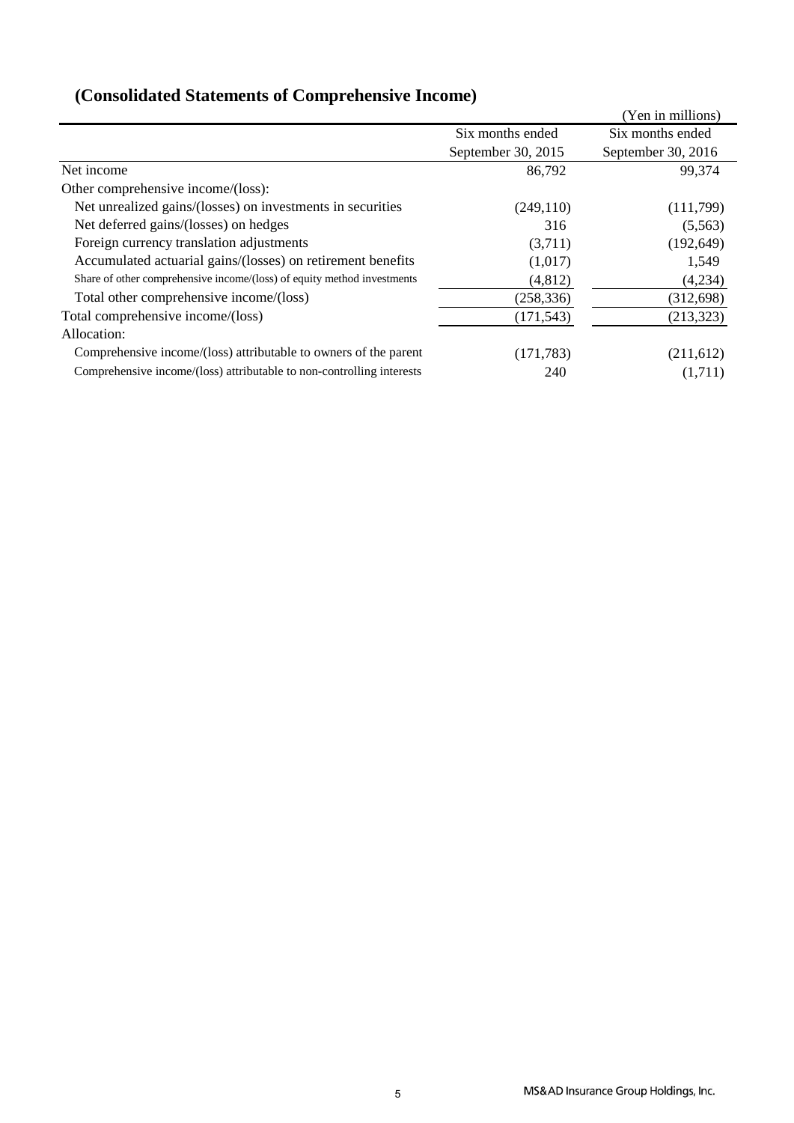|                                                                         |                    | (Yen in millions)  |
|-------------------------------------------------------------------------|--------------------|--------------------|
|                                                                         | Six months ended   | Six months ended   |
|                                                                         | September 30, 2015 | September 30, 2016 |
| Net income                                                              | 86,792             | 99,374             |
| Other comprehensive income/(loss):                                      |                    |                    |
| Net unrealized gains/(losses) on investments in securities              | (249, 110)         | (111,799)          |
| Net deferred gains/(losses) on hedges                                   | 316                | (5,563)            |
| Foreign currency translation adjustments                                | (3,711)            | (192, 649)         |
| Accumulated actuarial gains/(losses) on retirement benefits             | (1,017)            | 1,549              |
| Share of other comprehensive income/(loss) of equity method investments | (4,812)            | (4,234)            |
| Total other comprehensive income/(loss)                                 | (258, 336)         | (312, 698)         |
| Total comprehensive income/(loss)                                       | (171, 543)         | (213, 323)         |
| Allocation:                                                             |                    |                    |
| Comprehensive income/(loss) attributable to owners of the parent        | (171, 783)         | (211,612)          |
| Comprehensive income/(loss) attributable to non-controlling interests   | 240                | (1,711)            |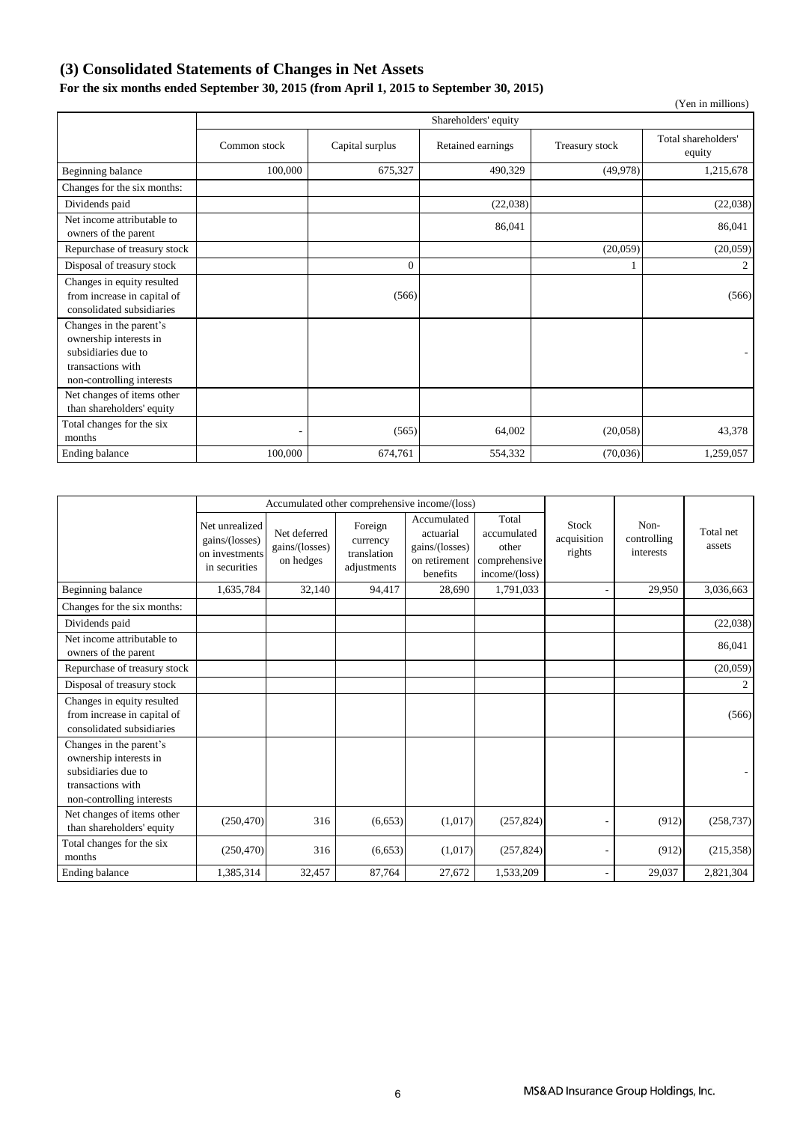### **(3) Consolidated Statements of Changes in Net Assets**

### **For the six months ended September 30, 2015 (from April 1, 2015 to September 30, 2015)**

|                                                                                                                            |                      |                 |                   |                | (Yen in millions)             |  |  |
|----------------------------------------------------------------------------------------------------------------------------|----------------------|-----------------|-------------------|----------------|-------------------------------|--|--|
|                                                                                                                            | Shareholders' equity |                 |                   |                |                               |  |  |
|                                                                                                                            | Common stock         | Capital surplus | Retained earnings | Treasury stock | Total shareholders'<br>equity |  |  |
| Beginning balance                                                                                                          | 100,000              | 675,327         | 490,329           | (49,978)       | 1,215,678                     |  |  |
| Changes for the six months:                                                                                                |                      |                 |                   |                |                               |  |  |
| Dividends paid                                                                                                             |                      |                 | (22,038)          |                | (22,038)                      |  |  |
| Net income attributable to<br>owners of the parent                                                                         |                      |                 | 86,041            |                | 86,041                        |  |  |
| Repurchase of treasury stock                                                                                               |                      |                 |                   | (20,059)       | (20, 059)                     |  |  |
| Disposal of treasury stock                                                                                                 |                      | $\theta$        |                   |                | 2                             |  |  |
| Changes in equity resulted<br>from increase in capital of<br>consolidated subsidiaries                                     |                      | (566)           |                   |                | (566)                         |  |  |
| Changes in the parent's<br>ownership interests in<br>subsidiaries due to<br>transactions with<br>non-controlling interests |                      |                 |                   |                |                               |  |  |
| Net changes of items other<br>than shareholders' equity                                                                    |                      |                 |                   |                |                               |  |  |
| Total changes for the six<br>months                                                                                        |                      | (565)           | 64,002            | (20,058)       | 43,378                        |  |  |
| Ending balance                                                                                                             | 100,000              | 674,761         | 554,332           | (70,036)       | 1,259,057                     |  |  |

|                                                                                                                            |                                                                     | Accumulated other comprehensive income/(loss) |                                                   |                                                                         |                                                                 |                                |                                  |                     |
|----------------------------------------------------------------------------------------------------------------------------|---------------------------------------------------------------------|-----------------------------------------------|---------------------------------------------------|-------------------------------------------------------------------------|-----------------------------------------------------------------|--------------------------------|----------------------------------|---------------------|
|                                                                                                                            | Net unrealized<br>gains/(losses)<br>on investments<br>in securities | Net deferred<br>gains/(losses)<br>on hedges   | Foreign<br>currency<br>translation<br>adjustments | Accumulated<br>actuarial<br>gains/(losses)<br>on retirement<br>benefits | Total<br>accumulated<br>other<br>comprehensive<br>income/(loss) | Stock<br>acquisition<br>rights | Non-<br>controlling<br>interests | Total net<br>assets |
| Beginning balance                                                                                                          | 1,635,784                                                           | 32,140                                        | 94,417                                            | 28.690                                                                  | 1,791,033                                                       |                                | 29,950                           | 3,036,663           |
| Changes for the six months:                                                                                                |                                                                     |                                               |                                                   |                                                                         |                                                                 |                                |                                  |                     |
| Dividends paid                                                                                                             |                                                                     |                                               |                                                   |                                                                         |                                                                 |                                |                                  | (22,038)            |
| Net income attributable to<br>owners of the parent                                                                         |                                                                     |                                               |                                                   |                                                                         |                                                                 |                                |                                  | 86,041              |
| Repurchase of treasury stock                                                                                               |                                                                     |                                               |                                                   |                                                                         |                                                                 |                                |                                  | (20,059)            |
| Disposal of treasury stock                                                                                                 |                                                                     |                                               |                                                   |                                                                         |                                                                 |                                |                                  | 2                   |
| Changes in equity resulted<br>from increase in capital of<br>consolidated subsidiaries                                     |                                                                     |                                               |                                                   |                                                                         |                                                                 |                                |                                  | (566)               |
| Changes in the parent's<br>ownership interests in<br>subsidiaries due to<br>transactions with<br>non-controlling interests |                                                                     |                                               |                                                   |                                                                         |                                                                 |                                |                                  |                     |
| Net changes of items other<br>than shareholders' equity                                                                    | (250, 470)                                                          | 316                                           | (6,653)                                           | (1,017)                                                                 | (257, 824)                                                      |                                | (912)                            | (258, 737)          |
| Total changes for the six<br>months                                                                                        | (250, 470)                                                          | 316                                           | (6,653)                                           | (1,017)                                                                 | (257, 824)                                                      |                                | (912)                            | (215, 358)          |
| <b>Ending balance</b>                                                                                                      | 1,385,314                                                           | 32,457                                        | 87,764                                            | 27,672                                                                  | 1,533,209                                                       |                                | 29,037                           | 2,821,304           |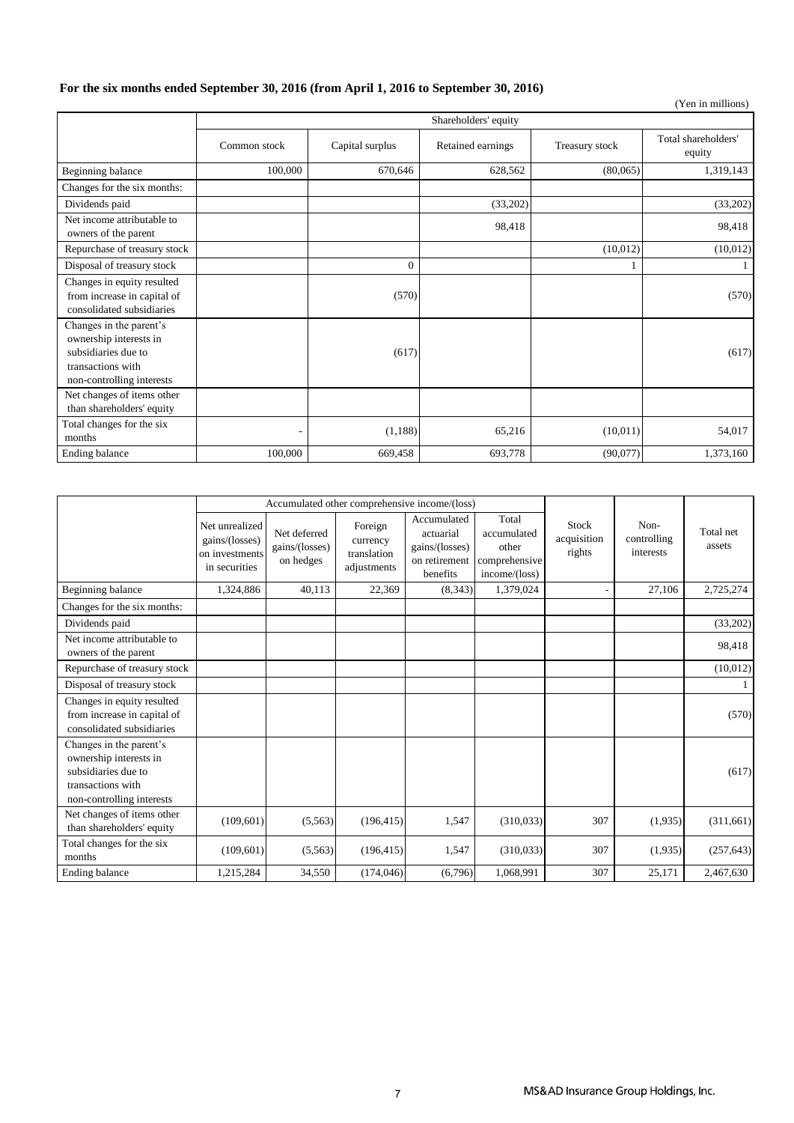### **For the six months ended September 30, 2016 (from April 1, 2016 to September 30, 2016)**

|                                                                                                                            |                      |                 |                   |                | (Yen in millions)             |  |  |
|----------------------------------------------------------------------------------------------------------------------------|----------------------|-----------------|-------------------|----------------|-------------------------------|--|--|
|                                                                                                                            | Shareholders' equity |                 |                   |                |                               |  |  |
|                                                                                                                            | Common stock         | Capital surplus | Retained earnings | Treasury stock | Total shareholders'<br>equity |  |  |
| Beginning balance                                                                                                          | 100,000              | 670,646         | 628,562           | (80,065)       | 1,319,143                     |  |  |
| Changes for the six months:                                                                                                |                      |                 |                   |                |                               |  |  |
| Dividends paid                                                                                                             |                      |                 | (33,202)          |                | (33,202)                      |  |  |
| Net income attributable to<br>owners of the parent                                                                         |                      |                 | 98,418            |                | 98,418                        |  |  |
| Repurchase of treasury stock                                                                                               |                      |                 |                   | (10,012)       | (10, 012)                     |  |  |
| Disposal of treasury stock                                                                                                 |                      | $\mathbf{0}$    |                   |                |                               |  |  |
| Changes in equity resulted<br>from increase in capital of<br>consolidated subsidiaries                                     |                      | (570)           |                   |                | (570)                         |  |  |
| Changes in the parent's<br>ownership interests in<br>subsidiaries due to<br>transactions with<br>non-controlling interests |                      | (617)           |                   |                | (617)                         |  |  |
| Net changes of items other<br>than shareholders' equity                                                                    |                      |                 |                   |                |                               |  |  |
| Total changes for the six<br>months                                                                                        |                      | (1,188)         | 65,216            | (10.011)       | 54,017                        |  |  |
| Ending balance                                                                                                             | 100,000              | 669,458         | 693,778           | (90,077)       | 1,373,160                     |  |  |

|                                                                                                                            |                                                                     | Accumulated other comprehensive income/(loss) |                                                   |                                                                         |                                                                 |                                       |                                  |                     |
|----------------------------------------------------------------------------------------------------------------------------|---------------------------------------------------------------------|-----------------------------------------------|---------------------------------------------------|-------------------------------------------------------------------------|-----------------------------------------------------------------|---------------------------------------|----------------------------------|---------------------|
|                                                                                                                            | Net unrealized<br>gains/(losses)<br>on investments<br>in securities | Net deferred<br>gains/(losses)<br>on hedges   | Foreign<br>currency<br>translation<br>adjustments | Accumulated<br>actuarial<br>gains/(losses)<br>on retirement<br>benefits | Total<br>accumulated<br>other<br>comprehensive<br>income/(loss) | <b>Stock</b><br>acquisition<br>rights | Non-<br>controlling<br>interests | Total net<br>assets |
| Beginning balance                                                                                                          | 1,324,886                                                           | 40,113                                        | 22,369                                            | (8,343)                                                                 | 1,379,024                                                       |                                       | 27,106                           | 2,725,274           |
| Changes for the six months:                                                                                                |                                                                     |                                               |                                                   |                                                                         |                                                                 |                                       |                                  |                     |
| Dividends paid                                                                                                             |                                                                     |                                               |                                                   |                                                                         |                                                                 |                                       |                                  | (33,202)            |
| Net income attributable to<br>owners of the parent                                                                         |                                                                     |                                               |                                                   |                                                                         |                                                                 |                                       |                                  | 98,418              |
| Repurchase of treasury stock                                                                                               |                                                                     |                                               |                                                   |                                                                         |                                                                 |                                       |                                  | (10, 012)           |
| Disposal of treasury stock                                                                                                 |                                                                     |                                               |                                                   |                                                                         |                                                                 |                                       |                                  |                     |
| Changes in equity resulted<br>from increase in capital of<br>consolidated subsidiaries                                     |                                                                     |                                               |                                                   |                                                                         |                                                                 |                                       |                                  | (570)               |
| Changes in the parent's<br>ownership interests in<br>subsidiaries due to<br>transactions with<br>non-controlling interests |                                                                     |                                               |                                                   |                                                                         |                                                                 |                                       |                                  | (617)               |
| Net changes of items other<br>than shareholders' equity                                                                    | (109, 601)                                                          | (5,563)                                       | (196, 415)                                        | 1,547                                                                   | (310,033)                                                       | 307                                   | (1,935)                          | (311,661)           |
| Total changes for the six<br>months                                                                                        | (109, 601)                                                          | (5,563)                                       | (196, 415)                                        | 1,547                                                                   | (310,033)                                                       | 307                                   | (1,935)                          | (257, 643)          |
| Ending balance                                                                                                             | 1,215,284                                                           | 34,550                                        | (174, 046)                                        | (6,796)                                                                 | 1,068,991                                                       | 307                                   | 25,171                           | 2,467,630           |